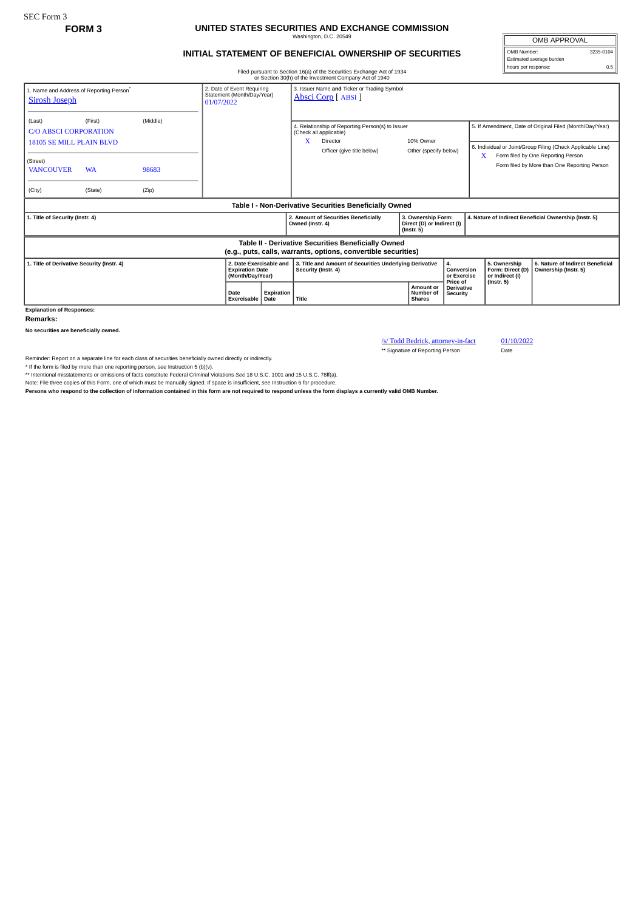## **FORM 3 UNITED STATES SECURITIES AND EXCHANGE COMMISSION** Washington, D.C. 20549

## **INITIAL STATEMENT OF BENEFICIAL OWNERSHIP OF SECURITIES**

Filed pursuant to Section 16(a) of the Securities Exchange Act of 1934 or Section 30(h) of the Investment Company Act of 1940

OMB APPROVAL OMB Number: 3235-0104 Estimated average burden hours per response: 0.5

|                                                                                                                       |                                                                        |          |                                                                       |                    |                                                                                | or Section 30(h) or the investment Company Act or 1940                                                                       |                                                                      |                                             |                                                                                                                         |                                                                         |                                                                                    |
|-----------------------------------------------------------------------------------------------------------------------|------------------------------------------------------------------------|----------|-----------------------------------------------------------------------|--------------------|--------------------------------------------------------------------------------|------------------------------------------------------------------------------------------------------------------------------|----------------------------------------------------------------------|---------------------------------------------|-------------------------------------------------------------------------------------------------------------------------|-------------------------------------------------------------------------|------------------------------------------------------------------------------------|
| 1. Name and Address of Reporting Person<br><b>Sirosh Joseph</b>                                                       | 2. Date of Event Requiring<br>Statement (Month/Day/Year)<br>01/07/2022 |          | 3. Issuer Name and Ticker or Trading Symbol<br>Absci Corp [ ABSI ]    |                    |                                                                                |                                                                                                                              |                                                                      |                                             |                                                                                                                         |                                                                         |                                                                                    |
| (Last)<br><b>C/O ABSCI CORPORATION</b><br><b>18105 SE MILL PLAIN BLVD</b>                                             | (First)                                                                | (Middle) |                                                                       |                    | x                                                                              | 4. Relationship of Reporting Person(s) to Issuer<br>(Check all applicable)<br>10% Owner<br>Director<br>Other (specify below) |                                                                      |                                             | 5. If Amendment, Date of Original Filed (Month/Day/Year)<br>6. Individual or Joint/Group Filing (Check Applicable Line) |                                                                         |                                                                                    |
| (Street)<br><b>VANCOUVER</b>                                                                                          | <b>WA</b>                                                              | 98683    |                                                                       |                    |                                                                                | Officer (give title below)                                                                                                   |                                                                      |                                             |                                                                                                                         | X                                                                       | Form filed by One Reporting Person<br>Form filed by More than One Reporting Person |
| (City)                                                                                                                | (State)                                                                | (Zip)    |                                                                       |                    |                                                                                |                                                                                                                              |                                                                      |                                             |                                                                                                                         |                                                                         |                                                                                    |
| Table I - Non-Derivative Securities Beneficially Owned                                                                |                                                                        |          |                                                                       |                    |                                                                                |                                                                                                                              |                                                                      |                                             |                                                                                                                         |                                                                         |                                                                                    |
| 1. Title of Security (Instr. 4)                                                                                       |                                                                        |          |                                                                       |                    | Owned (Instr. 4)                                                               | 2. Amount of Securities Beneficially                                                                                         | 3. Ownership Form:<br>Direct (D) or Indirect (I)<br>$($ Instr. 5 $)$ |                                             | 4. Nature of Indirect Beneficial Ownership (Instr. 5)                                                                   |                                                                         |                                                                                    |
| Table II - Derivative Securities Beneficially Owned<br>(e.g., puts, calls, warrants, options, convertible securities) |                                                                        |          |                                                                       |                    |                                                                                |                                                                                                                              |                                                                      |                                             |                                                                                                                         |                                                                         |                                                                                    |
| 1. Title of Derivative Security (Instr. 4)                                                                            |                                                                        |          | 2. Date Exercisable and<br><b>Expiration Date</b><br>(Month/Day/Year) |                    | 3. Title and Amount of Securities Underlying Derivative<br>Security (Instr. 4) |                                                                                                                              |                                                                      | 4.<br>Conversion<br>or Exercise<br>Price of |                                                                                                                         | 5. Ownership<br>Form: Direct (D)<br>or Indirect (I)<br>$($ Instr. 5 $)$ | 6. Nature of Indirect Beneficial<br>Ownership (Instr. 5)                           |
|                                                                                                                       |                                                                        |          | Date<br>Exercisable                                                   | Expiration<br>Date | Title                                                                          |                                                                                                                              | <b>Shares</b>                                                        | Amount or<br>Number of                      | <b>Derivative</b><br><b>Security</b>                                                                                    |                                                                         |                                                                                    |
| <b>Explanation of Responses:</b>                                                                                      |                                                                        |          |                                                                       |                    |                                                                                |                                                                                                                              |                                                                      |                                             |                                                                                                                         |                                                                         |                                                                                    |

**Remarks:**

**No securities are beneficially owned.**

/s/ Todd Bedrick, attorney-in-fact 01/10/2022

\*\* Signature of Reporting Person Date

Reminder: Report on a separate line for each class of securities beneficially owned directly or indirectly.

\* If the form is filed by more than one reporting person, see Instruction 5 (b)(v).<br>\*\* Intentional misstatements or omissions of facts constitute Federal Criminal Violations See 18 U.S.C. 1001 and 15 U.S.C. 78ff(a).

Note: File three copies of this Form, one of which must be manually signed. If space is insufficient, *see* Instruction 6 for procedure.

**Persons who respond to the collection of information contained in this form are not required to respond unless the form displays a currently valid OMB Number.**